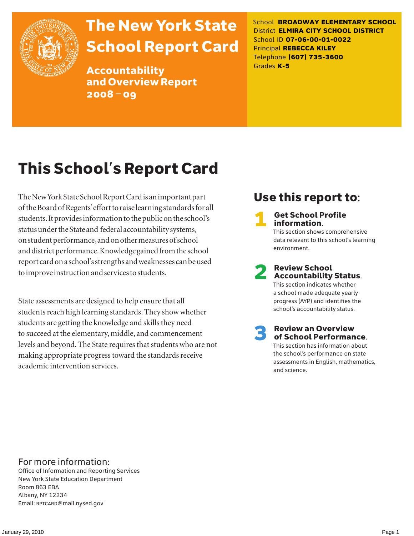

# The New York State School Report Card

Accountability and Overview Report 2008–09

School **BROADWAY ELEMENTARY SCHOOL** District **ELMIRA CITY SCHOOL DISTRICT** School ID **07-06-00-01-0022** Principal **REBECCA KILEY** Telephone **(607) 735-3600** Grades **K-5**

# This School's Report Card

The New York State School Report Card is an important part of the Board of Regents' effort to raise learning standards for all students. It provides information to the public on the school's status under the State and federal accountability systems, on student performance, and on other measures of school and district performance. Knowledge gained from the school report card on a school's strengths and weaknesses can be used to improve instruction and services to students.

State assessments are designed to help ensure that all students reach high learning standards. They show whether students are getting the knowledge and skills they need to succeed at the elementary, middle, and commencement levels and beyond. The State requires that students who are not making appropriate progress toward the standards receive academic intervention services.

# Use this report to:

**Get School Profile** information. This section shows comprehensive data relevant to this school's learning environment.

2 Review School Accountability Status.

This section indicates whether a school made adequate yearly progress (AYP) and identifies the school's accountability status.

3 Review an Overview of School Performance. This section has information about the school's performance on state assessments in English, mathematics,

and science.

### For more information:

Office of Information and Reporting Services New York State Education Department Room 863 EBA Albany, NY 12234 Email: RPTCARD@mail.nysed.gov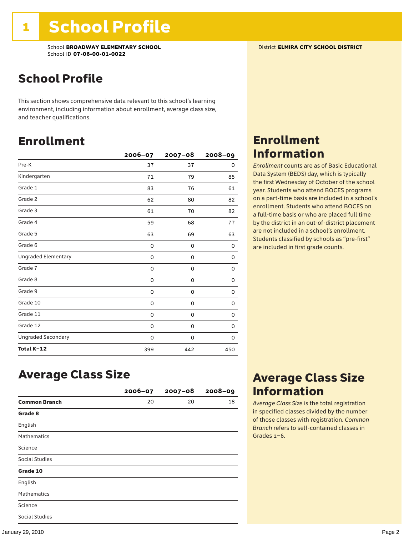### School Profile

This section shows comprehensive data relevant to this school's learning environment, including information about enrollment, average class size, and teacher qualifications.

### Enrollment

|                            | 2006-07 | $2007 - 08$ | $2008 - 09$ |
|----------------------------|---------|-------------|-------------|
| Pre-K                      | 37      | 37          | 0           |
| Kindergarten               | 71      | 79          | 85          |
| Grade 1                    | 83      | 76          | 61          |
| Grade 2                    | 62      | 80          | 82          |
| Grade 3                    | 61      | 70          | 82          |
| Grade 4                    | 59      | 68          | 77          |
| Grade 5                    | 63      | 69          | 63          |
| Grade 6                    | 0       | 0           | 0           |
| <b>Ungraded Elementary</b> | 0       | $\mathbf 0$ | 0           |
| Grade 7                    | 0       | $\mathbf 0$ | 0           |
| Grade 8                    | 0       | 0           | 0           |
| Grade 9                    | 0       | 0           | 0           |
| Grade 10                   | 0       | 0           | 0           |
| Grade 11                   | 0       | 0           | 0           |
| Grade 12                   | 0       | 0           | 0           |
| <b>Ungraded Secondary</b>  | 0       | 0           | 0           |
| Total K-12                 | 399     | 442         | 450         |

# Enrollment Information

*Enrollment* counts are as of Basic Educational Data System (BEDS) day, which is typically the first Wednesday of October of the school year. Students who attend BOCES programs on a part-time basis are included in a school's enrollment. Students who attend BOCES on a full-time basis or who are placed full time by the district in an out-of-district placement are not included in a school's enrollment. Students classified by schools as "pre-first" are included in first grade counts.

### Average Class Size

|                      | 2006-07 | $2007 - 08$ | $2008 - 09$ |
|----------------------|---------|-------------|-------------|
| <b>Common Branch</b> | 20      | 20          | 18          |
| Grade 8              |         |             |             |
| English              |         |             |             |
| <b>Mathematics</b>   |         |             |             |
| Science              |         |             |             |
| Social Studies       |         |             |             |
| Grade 10             |         |             |             |
| English              |         |             |             |
| <b>Mathematics</b>   |         |             |             |
| Science              |         |             |             |
| Social Studies       |         |             |             |

### Average Class Size Information

*Average Class Size* is the total registration in specified classes divided by the number of those classes with registration. *Common Branch* refers to self-contained classes in Grades 1–6.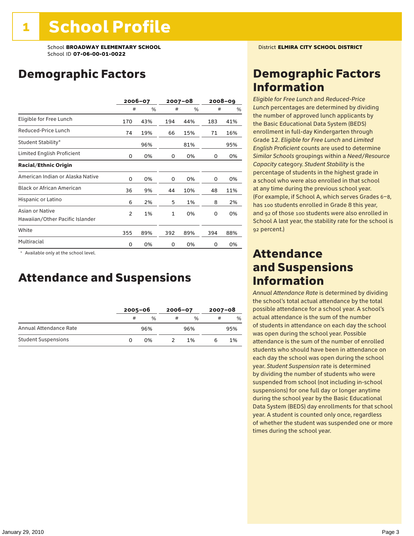# Demographic Factors

|                                                    | 2006-07        |     |              | $2007 - 08$ |     | $2008 - 09$ |
|----------------------------------------------------|----------------|-----|--------------|-------------|-----|-------------|
|                                                    | #              | %   | #            | %           | #   | %           |
| Eligible for Free Lunch                            | 170            | 43% | 194          | 44%         | 183 | 41%         |
| Reduced-Price Lunch                                | 74             | 19% | 66           | 15%         | 71  | 16%         |
| Student Stability*                                 |                | 96% |              | 81%         |     | 95%         |
| Limited English Proficient                         | 0              | 0%  | 0            | 0%          | 0   | 0%          |
| <b>Racial/Ethnic Origin</b>                        |                |     |              |             |     |             |
| American Indian or Alaska Native                   | 0              | 0%  | 0            | 0%          | 0   | 0%          |
| <b>Black or African American</b>                   | 36             | 9%  | 44           | 10%         | 48  | 11%         |
| Hispanic or Latino                                 | 6              | 2%  | 5            | 1%          | 8   | 2%          |
| Asian or Native<br>Hawaiian/Other Pacific Islander | $\overline{2}$ | 1%  | $\mathbf{1}$ | 0%          | 0   | 0%          |
| White                                              | 355            | 89% | 392          | 89%         | 394 | 88%         |
| Multiracial                                        | 0              | 0%  | 0            | 0%          | 0   | 0%          |

\* Available only at the school level.

### Attendance and Suspensions

|                            |   | $2005 - 06$   |   | $2006 - 07$   |   | $2007 - 08$ |  |
|----------------------------|---|---------------|---|---------------|---|-------------|--|
|                            | # | $\frac{0}{0}$ | # | $\frac{0}{6}$ | # | $\%$        |  |
| Annual Attendance Rate     |   | 96%           |   | 96%           |   | 95%         |  |
| <b>Student Suspensions</b> |   | በ%            |   | 1%            |   | 1%          |  |

### Demographic Factors Information

*Eligible for Free Lunch* and *Reduced*-*Price Lunch* percentages are determined by dividing the number of approved lunch applicants by the Basic Educational Data System (BEDS) enrollment in full-day Kindergarten through Grade 12. *Eligible for Free Lunch* and *Limited English Proficient* counts are used to determine *Similar Schools* groupings within a *Need*/*Resource Capacity* category. *Student Stability* is the percentage of students in the highest grade in a school who were also enrolled in that school at any time during the previous school year. (For example, if School A, which serves Grades 6–8, has 100 students enrolled in Grade 8 this year, and 92 of those 100 students were also enrolled in School A last year, the stability rate for the school is 92 percent.)

### Attendance and Suspensions Information

*Annual Attendance Rate* is determined by dividing the school's total actual attendance by the total possible attendance for a school year. A school's actual attendance is the sum of the number of students in attendance on each day the school was open during the school year. Possible attendance is the sum of the number of enrolled students who should have been in attendance on each day the school was open during the school year. *Student Suspension* rate is determined by dividing the number of students who were suspended from school (not including in-school suspensions) for one full day or longer anytime during the school year by the Basic Educational Data System (BEDS) day enrollments for that school year. A student is counted only once, regardless of whether the student was suspended one or more times during the school year.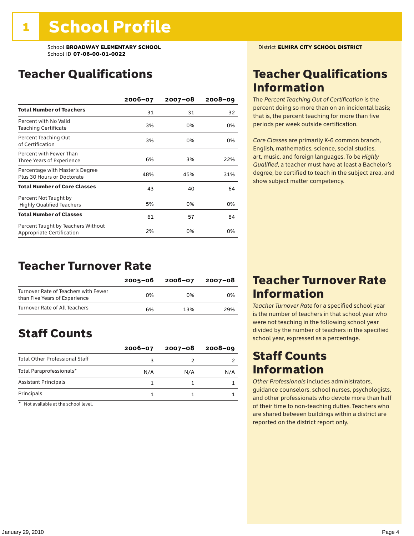# Teacher Qualifications

|                                                                 | $2006 - 07$ | $2007 - 08$ | $2008 - 09$ |
|-----------------------------------------------------------------|-------------|-------------|-------------|
| <b>Total Number of Teachers</b>                                 | 31          | 31          | 32          |
| Percent with No Valid<br><b>Teaching Certificate</b>            | 3%          | 0%          | 0%          |
| Percent Teaching Out<br>of Certification                        | 3%          | 0%          | 0%          |
| Percent with Fewer Than<br>Three Years of Experience            | 6%          | 3%          | 22%         |
| Percentage with Master's Degree<br>Plus 30 Hours or Doctorate   | 48%         | 45%         | 31%         |
| <b>Total Number of Core Classes</b>                             | 43          | 40          | 64          |
| Percent Not Taught by<br><b>Highly Qualified Teachers</b>       | 5%          | 0%          | 0%          |
| <b>Total Number of Classes</b>                                  | 61          | 57          | 84          |
| Percent Taught by Teachers Without<br>Appropriate Certification | 2%          | 0%          | 0%          |

### Teacher Turnover Rate

|                                                                       | 2005-06 | 2006-07 | 2007-08 |
|-----------------------------------------------------------------------|---------|---------|---------|
| Turnover Rate of Teachers with Fewer<br>than Five Years of Experience | በ%      | በ%      | በ%      |
| Turnover Rate of All Teachers                                         | 6%      | 13%     | 29%     |

# Staff Counts

|                                       | $2006 - 07$ | $2007 - 08$ | $2008 - 09$ |
|---------------------------------------|-------------|-------------|-------------|
| <b>Total Other Professional Staff</b> |             |             |             |
| Total Paraprofessionals*              | N/A         | N/A         | N/A         |
| <b>Assistant Principals</b>           |             |             |             |
| Principals                            |             |             |             |

\* Not available at the school level.

# Teacher Qualifications Information

The *Percent Teaching Out of Certification* is the percent doing so more than on an incidental basis; that is, the percent teaching for more than five periods per week outside certification.

*Core Classes* are primarily K-6 common branch, English, mathematics, science, social studies, art, music, and foreign languages. To be *Highly Qualified*, a teacher must have at least a Bachelor's degree, be certified to teach in the subject area, and show subject matter competency.

### Teacher Turnover Rate Information

*Teacher Turnover Rate* for a specified school year is the number of teachers in that school year who were not teaching in the following school year divided by the number of teachers in the specified school year, expressed as a percentage.

### Staff Counts Information

*Other Professionals* includes administrators, guidance counselors, school nurses, psychologists, and other professionals who devote more than half of their time to non-teaching duties. Teachers who are shared between buildings within a district are reported on the district report only.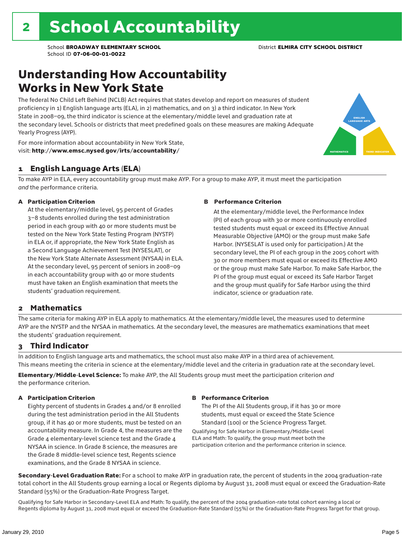### Understanding How Accountability Works in New York State

The federal No Child Left Behind (NCLB) Act requires that states develop and report on measures of student proficiency in 1) English language arts (ELA), in 2) mathematics, and on 3) a third indicator. In New York State in 2008–09, the third indicator is science at the elementary/middle level and graduation rate at the secondary level. Schools or districts that meet predefined goals on these measures are making Adequate Yearly Progress (AYP).



For more information about accountability in New York State, visit: http://www.emsc.nysed.gov/irts/accountability/

### 1 English Language Arts (ELA)

To make AYP in ELA, every accountability group must make AYP. For a group to make AYP, it must meet the participation *and* the performance criteria.

#### A Participation Criterion

At the elementary/middle level, 95 percent of Grades 3–8 students enrolled during the test administration period in each group with 40 or more students must be tested on the New York State Testing Program (NYSTP) in ELA or, if appropriate, the New York State English as a Second Language Achievement Test (NYSESLAT), or the New York State Alternate Assessment (NYSAA) in ELA. At the secondary level, 95 percent of seniors in 2008–09 in each accountability group with 40 or more students must have taken an English examination that meets the students' graduation requirement.

#### B Performance Criterion

At the elementary/middle level, the Performance Index (PI) of each group with 30 or more continuously enrolled tested students must equal or exceed its Effective Annual Measurable Objective (AMO) or the group must make Safe Harbor. (NYSESLAT is used only for participation.) At the secondary level, the PI of each group in the 2005 cohort with 30 or more members must equal or exceed its Effective AMO or the group must make Safe Harbor. To make Safe Harbor, the PI of the group must equal or exceed its Safe Harbor Target and the group must qualify for Safe Harbor using the third indicator, science or graduation rate.

### 2 Mathematics

The same criteria for making AYP in ELA apply to mathematics. At the elementary/middle level, the measures used to determine AYP are the NYSTP and the NYSAA in mathematics. At the secondary level, the measures are mathematics examinations that meet the students' graduation requirement.

### 3 Third Indicator

In addition to English language arts and mathematics, the school must also make AYP in a third area of achievement. This means meeting the criteria in science at the elementary/middle level and the criteria in graduation rate at the secondary level.

Elementary/Middle-Level Science: To make AYP, the All Students group must meet the participation criterion *and* the performance criterion.

#### A Participation Criterion

Eighty percent of students in Grades 4 and/or 8 enrolled during the test administration period in the All Students group, if it has 40 or more students, must be tested on an accountability measure. In Grade 4, the measures are the Grade 4 elementary-level science test and the Grade 4 NYSAA in science. In Grade 8 science, the measures are the Grade 8 middle-level science test, Regents science examinations, and the Grade 8 NYSAA in science.

#### B Performance Criterion

The PI of the All Students group, if it has 30 or more students, must equal or exceed the State Science Standard (100) or the Science Progress Target.

Qualifying for Safe Harbor in Elementary/Middle-Level ELA and Math: To qualify, the group must meet both the participation criterion and the performance criterion in science.

Secondary-Level Graduation Rate: For a school to make AYP in graduation rate, the percent of students in the 2004 graduation-rate total cohort in the All Students group earning a local or Regents diploma by August 31, 2008 must equal or exceed the Graduation-Rate Standard (55%) or the Graduation-Rate Progress Target.

Qualifying for Safe Harbor in Secondary-Level ELA and Math: To qualify, the percent of the 2004 graduation-rate total cohort earning a local or Regents diploma by August 31, 2008 must equal or exceed the Graduation-Rate Standard (55%) or the Graduation-Rate Progress Target for that group.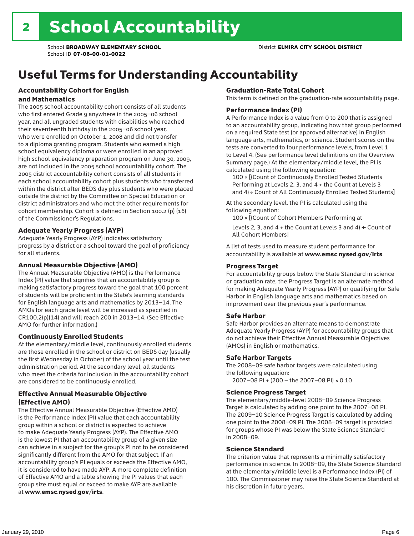# Useful Terms for Understanding Accountability

#### Accountability Cohort for English and Mathematics

The 2005 school accountability cohort consists of all students who first entered Grade 9 anywhere in the 2005–06 school year, and all ungraded students with disabilities who reached their seventeenth birthday in the 2005–06 school year, who were enrolled on October 1, 2008 and did not transfer to a diploma granting program. Students who earned a high school equivalency diploma or were enrolled in an approved high school equivalency preparation program on June 30, 2009, are not included in the 2005 school accountability cohort. The 2005 district accountability cohort consists of all students in each school accountability cohort plus students who transferred within the district after BEDS day plus students who were placed outside the district by the Committee on Special Education or district administrators and who met the other requirements for cohort membership. Cohort is defined in Section 100.2 (p) (16) of the Commissioner's Regulations.

#### Adequate Yearly Progress (AYP)

Adequate Yearly Progress (AYP) indicates satisfactory progress by a district or a school toward the goal of proficiency for all students.

#### Annual Measurable Objective (AMO)

The Annual Measurable Objective (AMO) is the Performance Index (PI) value that signifies that an accountability group is making satisfactory progress toward the goal that 100 percent of students will be proficient in the State's learning standards for English language arts and mathematics by 2013–14. The AMOs for each grade level will be increased as specified in CR100.2(p)(14) and will reach 200 in 2013–14. (See Effective AMO for further information.)

### Continuously Enrolled Students

At the elementary/middle level, continuously enrolled students are those enrolled in the school or district on BEDS day (usually the first Wednesday in October) of the school year until the test administration period. At the secondary level, all students who meet the criteria for inclusion in the accountability cohort are considered to be continuously enrolled.

### Effective Annual Measurable Objective (Effective AMO)

The Effective Annual Measurable Objective (Effective AMO) is the Performance Index (PI) value that each accountability group within a school or district is expected to achieve to make Adequate Yearly Progress (AYP). The Effective AMO is the lowest PI that an accountability group of a given size can achieve in a subject for the group's PI not to be considered significantly different from the AMO for that subject. If an accountability group's PI equals or exceeds the Effective AMO, it is considered to have made AYP. A more complete definition of Effective AMO and a table showing the PI values that each group size must equal or exceed to make AYP are available at www.emsc.nysed.gov/irts.

#### Graduation-Rate Total Cohort

This term is defined on the graduation-rate accountability page.

#### Performance Index (PI)

A Performance Index is a value from 0 to 200 that is assigned to an accountability group, indicating how that group performed on a required State test (or approved alternative) in English language arts, mathematics, or science. Student scores on the tests are converted to four performance levels, from Level 1 to Level 4. (See performance level definitions on the Overview Summary page.) At the elementary/middle level, the PI is calculated using the following equation:

100 × [(Count of Continuously Enrolled Tested Students Performing at Levels 2, 3, and 4 + the Count at Levels 3 and 4) ÷ Count of All Continuously Enrolled Tested Students]

At the secondary level, the PI is calculated using the following equation:

100 × [(Count of Cohort Members Performing at

Levels 2, 3, and 4 + the Count at Levels 3 and 4)  $\div$  Count of All Cohort Members]

A list of tests used to measure student performance for accountability is available at www.emsc.nysed.gov/irts.

#### Progress Target

For accountability groups below the State Standard in science or graduation rate, the Progress Target is an alternate method for making Adequate Yearly Progress (AYP) or qualifying for Safe Harbor in English language arts and mathematics based on improvement over the previous year's performance.

#### Safe Harbor

Safe Harbor provides an alternate means to demonstrate Adequate Yearly Progress (AYP) for accountability groups that do not achieve their Effective Annual Measurable Objectives (AMOs) in English or mathematics.

#### Safe Harbor Targets

The 2008–09 safe harbor targets were calculated using the following equation:

2007–08 PI + (200 – the 2007–08 PI) × 0.10

#### Science Progress Target

The elementary/middle-level 2008–09 Science Progress Target is calculated by adding one point to the 2007–08 PI. The 2009–10 Science Progress Target is calculated by adding one point to the 2008–09 PI. The 2008–09 target is provided for groups whose PI was below the State Science Standard in 2008–09.

#### Science Standard

The criterion value that represents a minimally satisfactory performance in science. In 2008–09, the State Science Standard at the elementary/middle level is a Performance Index (PI) of 100. The Commissioner may raise the State Science Standard at his discretion in future years.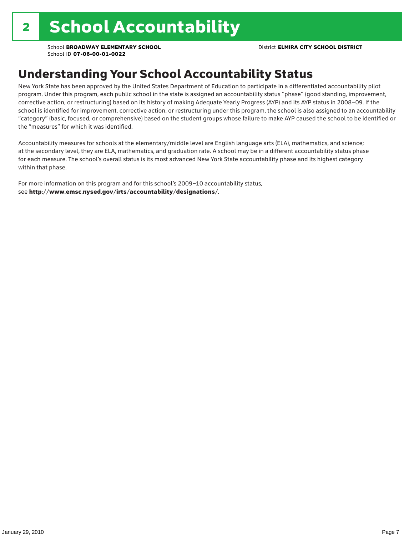# Understanding Your School Accountability Status

New York State has been approved by the United States Department of Education to participate in a differentiated accountability pilot program. Under this program, each public school in the state is assigned an accountability status "phase" (good standing, improvement, corrective action, or restructuring) based on its history of making Adequate Yearly Progress (AYP) and its AYP status in 2008–09. If the school is identified for improvement, corrective action, or restructuring under this program, the school is also assigned to an accountability "category" (basic, focused, or comprehensive) based on the student groups whose failure to make AYP caused the school to be identified or the "measures" for which it was identified.

Accountability measures for schools at the elementary/middle level are English language arts (ELA), mathematics, and science; at the secondary level, they are ELA, mathematics, and graduation rate. A school may be in a different accountability status phase for each measure. The school's overall status is its most advanced New York State accountability phase and its highest category within that phase.

For more information on this program and for this school's 2009–10 accountability status, see http://www.emsc.nysed.gov/irts/accountability/designations/.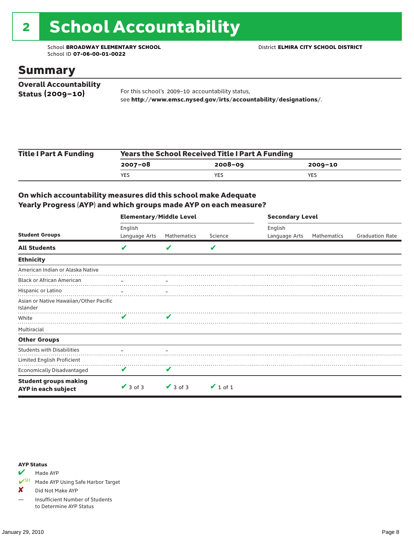# 2 School Accountability

School **BROADWAY ELEMENTARY SCHOOL** District **ELMIRA CITY SCHOOL DISTRICT** School ID **07-06-00-01-0022**

### Summary

| <b>Overall Accountability</b> |                                                                  |
|-------------------------------|------------------------------------------------------------------|
| Status $(2009 - 10)$          | For this school's 2009-10 accountability status,                 |
|                               | see http://www.emsc.nysed.gov/irts/accountability/designations/. |

| <b>Title I Part A Funding</b> | <b>Years the School Received Title I Part A Funding</b> |             |         |  |  |  |
|-------------------------------|---------------------------------------------------------|-------------|---------|--|--|--|
|                               | 2007-08                                                 | $2008 - 09$ | 2009-10 |  |  |  |
|                               | <b>YES</b>                                              | YES         | YES     |  |  |  |

### On which accountability measures did this school make Adequate Yearly Progress (AYP) and which groups made AYP on each measure?

|                                                     | <b>Elementary/Middle Level</b> |               |               |               | <b>Secondary Level</b> |                        |  |  |  |
|-----------------------------------------------------|--------------------------------|---------------|---------------|---------------|------------------------|------------------------|--|--|--|
|                                                     | English                        |               |               | English       |                        |                        |  |  |  |
| <b>Student Groups</b>                               | Language Arts                  | Mathematics   | Science       | Language Arts | Mathematics            | <b>Graduation Rate</b> |  |  |  |
| <b>All Students</b>                                 | V                              |               | V             |               |                        |                        |  |  |  |
| <b>Ethnicity</b>                                    |                                |               |               |               |                        |                        |  |  |  |
| American Indian or Alaska Native                    |                                |               |               |               |                        |                        |  |  |  |
| <b>Black or African American</b>                    |                                |               |               |               |                        |                        |  |  |  |
| Hispanic or Latino                                  |                                |               |               |               |                        |                        |  |  |  |
| Asian or Native Hawaiian/Other Pacific<br>Islander  |                                |               |               |               |                        |                        |  |  |  |
| White                                               |                                | v             |               |               |                        |                        |  |  |  |
| Multiracial                                         |                                |               |               |               |                        |                        |  |  |  |
| <b>Other Groups</b>                                 |                                |               |               |               |                        |                        |  |  |  |
| <b>Students with Disabilities</b>                   |                                |               |               |               |                        |                        |  |  |  |
| Limited English Proficient                          |                                |               |               |               |                        |                        |  |  |  |
| <b>Economically Disadvantaged</b>                   | V                              | v             |               |               |                        |                        |  |  |  |
| <b>Student groups making</b><br>AYP in each subject | $\vee$ 3 of 3                  | $\vee$ 3 of 3 | $\vee$ 1 of 1 |               |                        |                        |  |  |  |

#### AYP Status

 $\blacktriangleright$  Made AYP

✔SH Made AYP Using Safe Harbor Target

X Did Not Make AYP

— Insufficient Number of Students to Determine AYP Status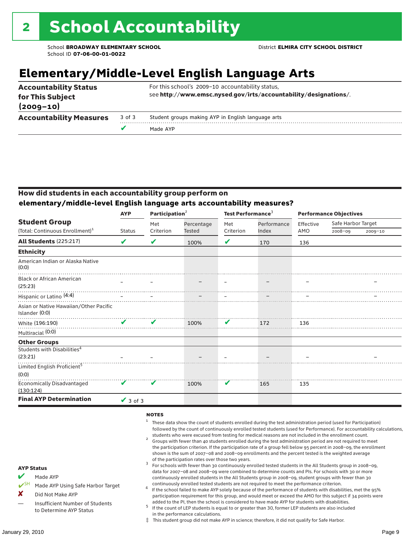# **Elementary/Middle-Level English Language Arts**

| <b>Accountability Status</b><br>for This Subject |        | For this school's 2009-10 accountability status,<br>see http://www.emsc.nysed.gov/irts/accountability/designations/. |
|--------------------------------------------------|--------|----------------------------------------------------------------------------------------------------------------------|
| $(2009 - 10)$                                    |        |                                                                                                                      |
| <b>Accountability Measures</b>                   | 3 of 3 | Student groups making AYP in English language arts                                                                   |
|                                                  |        | Made AYP                                                                                                             |

### How did students in each accountability group perform on **elementary/middle-level English language arts accountability measures?**

| <b>AYP</b>    |           |               |                            |             | <b>Performance Objectives</b> |                    |             |
|---------------|-----------|---------------|----------------------------|-------------|-------------------------------|--------------------|-------------|
|               | Met       | Percentage    | Met                        | Performance | Effective<br>AMO              | Safe Harbor Target |             |
| <b>Status</b> | Criterion | <b>Tested</b> | Criterion                  | Index       |                               | $2008 - 09$        | $2009 - 10$ |
| V             | V         | 100%          | V                          | 170         | 136                           |                    |             |
|               |           |               |                            |             |                               |                    |             |
|               |           |               |                            |             |                               |                    |             |
|               |           |               |                            |             |                               |                    |             |
|               |           |               |                            |             |                               |                    |             |
|               |           |               |                            |             |                               |                    |             |
| ✔             | V         | 100%          | V                          | 172         | 136                           |                    |             |
|               |           |               |                            |             |                               |                    |             |
|               |           |               |                            |             |                               |                    |             |
|               |           |               |                            |             |                               |                    |             |
|               |           |               |                            |             |                               |                    |             |
|               |           |               |                            |             |                               |                    |             |
|               |           |               |                            |             |                               |                    |             |
| V             | V         | 100%          | V                          | 165         | 135                           |                    |             |
| $\vee$ 3 of 3 |           |               |                            |             |                               |                    |             |
|               |           |               | Participation <sup>2</sup> | . <b>.</b>  | Test Performance <sup>3</sup> |                    |             |

#### **NOTES**

- <sup>1</sup> These data show the count of students enrolled during the test administration period (used for Participation) followed by the count of continuously enrolled tested students (used for Performance). For accountability calculations,
- students who were excused from testing for medical reasons are not included in the enrollment count. <sup>2</sup> Groups with fewer than 40 students enrolled during the test administration period are not required to meet the participation criterion. If the participation rate of a group fell below 95 percent in 2008–09, the enrollment shown is the sum of 2007–08 and 2008–09 enrollments and the percent tested is the weighted average
- of the participation rates over those two years.<br><sup>3</sup> For schools with fewer than 30 continuously enrolled tested students in the All Students group in 2008–09, data for 2007–08 and 2008–09 were combined to determine counts and PIs. For schools with 30 or more continuously enrolled students in the All Students group in 2008–09, student groups with fewer than 30
- continuously enrolled tested students are not required to meet the performance criterion. <sup>4</sup> If the school failed to make AYP solely because of the performance of students with disabilities, met the 95% participation requirement for this group, and would meet or exceed the AMO for this subject if 34 points were added to the PI, then the school is considered to have made AYP for students with disabilities.
- $5$  If the count of LEP students is equal to or greater than 30, former LEP students are also included in the performance calculations.
- ‡ This student group did not make AYP in science; therefore, it did not qualify for Safe Harbor.

AYP Status  $M$  Made AYP

X Did Not Make AYP

Made AYP Using Safe Harbor Target

Insufficient Number of Students to Determine AYP Status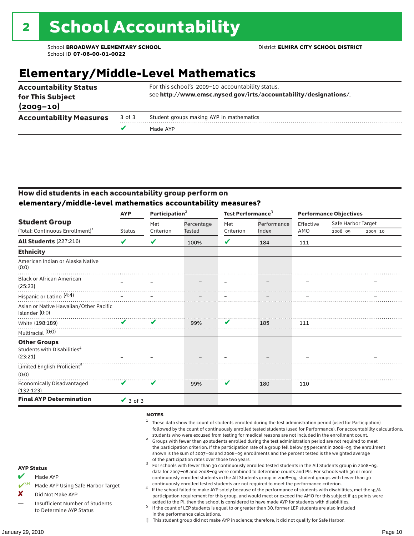# **Elementary/Middle-Level Mathematics**

| <b>Accountability Measures</b>    | 3 of 3<br>v | Student groups making AYP in mathematics<br>Made AYP             |
|-----------------------------------|-------------|------------------------------------------------------------------|
| for This Subject<br>$(2009 - 10)$ |             | see http://www.emsc.nysed.gov/irts/accountability/designations/. |
| <b>Accountability Status</b>      |             | For this school's 2009-10 accountability status,                 |

### How did students in each accountability group perform on **elementary/middle-level mathematics accountability measures?**

|                                                          | <b>AYP</b>                 | Participation <sup>2</sup> |            | Test Performance <sup>3</sup> |             | <b>Performance Objectives</b> |                    |             |  |
|----------------------------------------------------------|----------------------------|----------------------------|------------|-------------------------------|-------------|-------------------------------|--------------------|-------------|--|
| <b>Student Group</b>                                     |                            | Met                        | Percentage | Met                           | Performance | Effective                     | Safe Harbor Target |             |  |
| (Total: Continuous Enrollment) <sup>1</sup>              | <b>Status</b>              | Criterion                  | Tested     | Criterion                     | Index       | AMO                           | 2008-09            | $2009 - 10$ |  |
| <b>All Students (227:216)</b>                            | ✔                          | V                          | 100%       | V                             | 184         | 111                           |                    |             |  |
| <b>Ethnicity</b>                                         |                            |                            |            |                               |             |                               |                    |             |  |
| American Indian or Alaska Native<br>(0:0)                |                            |                            |            |                               |             |                               |                    |             |  |
| <b>Black or African American</b><br>(25:23)              |                            |                            |            |                               |             |                               |                    |             |  |
| Hispanic or Latino <sup>(4:4)</sup>                      |                            |                            |            |                               |             |                               |                    |             |  |
| Asian or Native Hawaiian/Other Pacific<br>Islander (0:0) |                            |                            |            |                               |             |                               |                    |             |  |
| White (198:189)                                          | $\boldsymbol{\mathcal{U}}$ | $\boldsymbol{\nu}$         | 99%        | V                             | 185         | 111                           |                    |             |  |
| Multiracial (0:0)                                        |                            |                            |            |                               |             |                               |                    |             |  |
| <b>Other Groups</b>                                      |                            |                            |            |                               |             |                               |                    |             |  |
| Students with Disabilities <sup>4</sup><br>(23:21)       |                            |                            |            |                               |             |                               |                    |             |  |
| Limited English Proficient <sup>5</sup><br>(0:0)         |                            |                            |            |                               |             |                               |                    |             |  |
| <b>Economically Disadvantaged</b><br>(132:123)           | V                          | V                          | 99%        | V                             | 180         | 110                           |                    |             |  |
| <b>Final AYP Determination</b>                           | $\sqrt{3}$ of 3            |                            |            |                               |             |                               |                    |             |  |

#### **NOTES**

- <sup>1</sup> These data show the count of students enrolled during the test administration period (used for Participation) followed by the count of continuously enrolled tested students (used for Performance). For accountability calculations,
- students who were excused from testing for medical reasons are not included in the enrollment count.<br><sup>2</sup> Groups with fewer than 40 students enrolled during the test administration period are not required to meet the participation criterion. If the participation rate of a group fell below 95 percent in 2008–09, the enrollment shown is the sum of 2007–08 and 2008–09 enrollments and the percent tested is the weighted average
- of the participation rates over those two years.<br><sup>3</sup> For schools with fewer than 30 continuously enrolled tested students in the All Students group in 2008–09, data for 2007–08 and 2008–09 were combined to determine counts and PIs. For schools with 30 or more continuously enrolled students in the All Students group in 2008–09, student groups with fewer than 30
- continuously enrolled tested students are not required to meet the performance criterion. <sup>4</sup> If the school failed to make AYP solely because of the performance of students with disabilities, met the 95% participation requirement for this group, and would meet or exceed the AMO for this subject if 34 points were added to the PI, then the school is considered to have made AYP for students with disabilities.
- $5$  If the count of LEP students is equal to or greater than 30, former LEP students are also included in the performance calculations.
- ‡ This student group did not make AYP in science; therefore, it did not qualify for Safe Harbor.

AYP Status Made AYP

X Did Not Make AYP

Made AYP Using Safe Harbor Target

Insufficient Number of Students to Determine AYP Status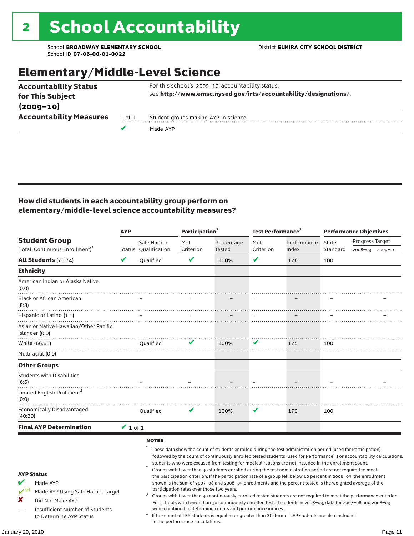# Elementary/Middle-Level Science

|                                                  |        | Made AYP                                                                                                             |
|--------------------------------------------------|--------|----------------------------------------------------------------------------------------------------------------------|
| <b>Accountability Measures</b>                   | 1 of 1 | Student groups making AYP in science                                                                                 |
| $(2009 - 10)$                                    |        |                                                                                                                      |
| <b>Accountability Status</b><br>for This Subject |        | For this school's 2009-10 accountability status,<br>see http://www.emsc.nysed.gov/irts/accountability/designations/. |
|                                                  |        |                                                                                                                      |

### How did students in each accountability group perform on elementary/middle-level science accountability measures?

|                                                                                                                                                                                   | <b>AYP</b>    |                                                        | Participation <sup>2</sup>                                                    |                                                            | Test Performance <sup>3</sup> |                                                                                                                                                                                                                                                                                                                                                                                                                                                                                                                                                                                                                                                                              | <b>Performance Objectives</b> |                                                                                                                                                                                                                                                                                                                                                                 |  |
|-----------------------------------------------------------------------------------------------------------------------------------------------------------------------------------|---------------|--------------------------------------------------------|-------------------------------------------------------------------------------|------------------------------------------------------------|-------------------------------|------------------------------------------------------------------------------------------------------------------------------------------------------------------------------------------------------------------------------------------------------------------------------------------------------------------------------------------------------------------------------------------------------------------------------------------------------------------------------------------------------------------------------------------------------------------------------------------------------------------------------------------------------------------------------|-------------------------------|-----------------------------------------------------------------------------------------------------------------------------------------------------------------------------------------------------------------------------------------------------------------------------------------------------------------------------------------------------------------|--|
| <b>Student Group</b><br>(Total: Continuous Enrollment) <sup>1</sup>                                                                                                               |               | Safe Harbor<br>Status Qualification                    | Met<br>Criterion                                                              | Percentage<br>Tested                                       | Met<br>Criterion              | Performance<br>Index                                                                                                                                                                                                                                                                                                                                                                                                                                                                                                                                                                                                                                                         | State<br>Standard             | Progress Target<br>2008-09 2009-10                                                                                                                                                                                                                                                                                                                              |  |
| <b>All Students (75:74)</b>                                                                                                                                                       | V             | <b>Oualified</b>                                       | V                                                                             | 100%                                                       | V                             | 176                                                                                                                                                                                                                                                                                                                                                                                                                                                                                                                                                                                                                                                                          | 100                           |                                                                                                                                                                                                                                                                                                                                                                 |  |
| <b>Ethnicity</b>                                                                                                                                                                  |               |                                                        |                                                                               |                                                            |                               |                                                                                                                                                                                                                                                                                                                                                                                                                                                                                                                                                                                                                                                                              |                               |                                                                                                                                                                                                                                                                                                                                                                 |  |
| American Indian or Alaska Native<br>(0:0)                                                                                                                                         |               |                                                        |                                                                               |                                                            |                               |                                                                                                                                                                                                                                                                                                                                                                                                                                                                                                                                                                                                                                                                              |                               |                                                                                                                                                                                                                                                                                                                                                                 |  |
| <b>Black or African American</b><br>(8:8)                                                                                                                                         |               |                                                        |                                                                               |                                                            |                               |                                                                                                                                                                                                                                                                                                                                                                                                                                                                                                                                                                                                                                                                              |                               |                                                                                                                                                                                                                                                                                                                                                                 |  |
| Hispanic or Latino (1:1)                                                                                                                                                          |               |                                                        |                                                                               |                                                            |                               |                                                                                                                                                                                                                                                                                                                                                                                                                                                                                                                                                                                                                                                                              |                               |                                                                                                                                                                                                                                                                                                                                                                 |  |
| Asian or Native Hawaiian/Other Pacific<br>Islander (0:0)                                                                                                                          |               |                                                        |                                                                               |                                                            |                               |                                                                                                                                                                                                                                                                                                                                                                                                                                                                                                                                                                                                                                                                              |                               |                                                                                                                                                                                                                                                                                                                                                                 |  |
| White (66:65)                                                                                                                                                                     |               | Oualified                                              | V                                                                             | 100%                                                       | V                             | 175                                                                                                                                                                                                                                                                                                                                                                                                                                                                                                                                                                                                                                                                          | 100                           |                                                                                                                                                                                                                                                                                                                                                                 |  |
| Multiracial (0:0)                                                                                                                                                                 |               |                                                        |                                                                               |                                                            |                               |                                                                                                                                                                                                                                                                                                                                                                                                                                                                                                                                                                                                                                                                              |                               |                                                                                                                                                                                                                                                                                                                                                                 |  |
| <b>Other Groups</b>                                                                                                                                                               |               |                                                        |                                                                               |                                                            |                               |                                                                                                                                                                                                                                                                                                                                                                                                                                                                                                                                                                                                                                                                              |                               |                                                                                                                                                                                                                                                                                                                                                                 |  |
| <b>Students with Disabilities</b><br>(6:6)                                                                                                                                        |               |                                                        |                                                                               |                                                            |                               |                                                                                                                                                                                                                                                                                                                                                                                                                                                                                                                                                                                                                                                                              |                               |                                                                                                                                                                                                                                                                                                                                                                 |  |
| Limited English Proficient <sup>4</sup><br>(0:0)                                                                                                                                  |               |                                                        |                                                                               |                                                            |                               |                                                                                                                                                                                                                                                                                                                                                                                                                                                                                                                                                                                                                                                                              |                               |                                                                                                                                                                                                                                                                                                                                                                 |  |
| <b>Economically Disadvantaged</b><br>(40:39)                                                                                                                                      |               | Qualified                                              | V                                                                             | 100%                                                       | V                             | 179                                                                                                                                                                                                                                                                                                                                                                                                                                                                                                                                                                                                                                                                          | 100                           |                                                                                                                                                                                                                                                                                                                                                                 |  |
| <b>Final AYP Determination</b>                                                                                                                                                    | $\vee$ 1 of 1 |                                                        |                                                                               |                                                            |                               |                                                                                                                                                                                                                                                                                                                                                                                                                                                                                                                                                                                                                                                                              |                               |                                                                                                                                                                                                                                                                                                                                                                 |  |
| <b>AYP Status</b><br>V<br>Made AYP<br>$V^{\text{SH}}$<br>Made AYP Using Safe Harbor Target<br>X<br>Did Not Make AYP<br>Insufficient Number of Students<br>to Determine AYP Status |               | <b>NOTES</b><br>1<br>$\overline{\mathbf{c}}$<br>3<br>4 | participation rates over those two years.<br>in the performance calculations. | were combined to determine counts and performance indices. |                               | These data show the count of students enrolled during the test administration period (used for Participation)<br>students who were excused from testing for medical reasons are not included in the enrollment count.<br>Groups with fewer than 40 students enrolled during the test administration period are not required to meet<br>the participation criterion. If the participation rate of a group fell below 80 percent in 2008-09, the enrollment<br>shown is the sum of 2007-08 and 2008-09 enrollments and the percent tested is the weighted average of the<br>If the count of LEP students is equal to or greater than 30, former LEP students are also included |                               | followed by the count of continuously enrolled tested students (used for Performance). For accountability calculations,<br>Groups with fewer than 30 continuously enrolled tested students are not required to meet the performance criterion.<br>For schools with fewer than 30 continuously enrolled tested students in 2008-09, data for 2007-08 and 2008-09 |  |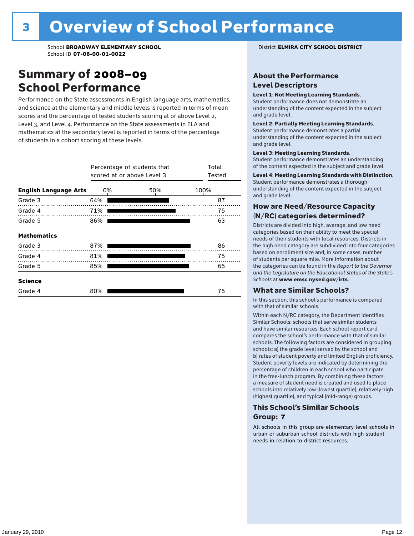### Summary of 2008–09 School Performance

Performance on the State assessments in English language arts, mathematics, and science at the elementary and middle levels is reported in terms of mean scores and the percentage of tested students scoring at or above Level 2, Level 3, and Level 4. Performance on the State assessments in ELA and mathematics at the secondary level is reported in terms of the percentage of students in a cohort scoring at these levels.

|                              |     | Percentage of students that<br>scored at or above Level 3 |      |  |  |  |  |  |
|------------------------------|-----|-----------------------------------------------------------|------|--|--|--|--|--|
| <b>English Language Arts</b> | 0%  | 50%                                                       | 100% |  |  |  |  |  |
| Grade 3                      | 64% |                                                           | 87   |  |  |  |  |  |
| Grade 4                      | 71% |                                                           | 75   |  |  |  |  |  |
| Grade 5                      | 86% |                                                           | 63   |  |  |  |  |  |
| <b>Mathematics</b>           |     |                                                           |      |  |  |  |  |  |
| Grade 3                      | 87% |                                                           | 86   |  |  |  |  |  |
| Grade 4                      | 81% |                                                           | 75   |  |  |  |  |  |
| Grade 5                      | 85% |                                                           | 65   |  |  |  |  |  |
| <b>Science</b>               |     |                                                           |      |  |  |  |  |  |
| Grade 4                      | 80% |                                                           | 75   |  |  |  |  |  |

### About the Performance Level Descriptors

#### Level 1: Not Meeting Learning Standards.

Student performance does not demonstrate an understanding of the content expected in the subject and grade level.

#### Level 2: Partially Meeting Learning Standards.

Student performance demonstrates a partial understanding of the content expected in the subject and grade level.

#### Level 3: Meeting Learning Standards.

Student performance demonstrates an understanding of the content expected in the subject and grade level.

#### Level 4: Meeting Learning Standards with Distinction.

Student performance demonstrates a thorough understanding of the content expected in the subject and grade level.

### How are Need/Resource Capacity (N/RC) categories determined?

Districts are divided into high, average, and low need categories based on their ability to meet the special needs of their students with local resources. Districts in the high need category are subdivided into four categories based on enrollment size and, in some cases, number of students per square mile. More information about the categories can be found in the *Report to the Governor and the Legislature on the Educational Status of the State's Schools* at www.emsc.nysed.gov/irts.

#### What are Similar Schools?

In this section, this school's performance is compared with that of similar schools.

Within each N/RC category, the Department identifies Similar Schools: schools that serve similar students and have similar resources. Each school report card compares the school's performance with that of similar schools. The following factors are considered in grouping schools: a) the grade level served by the school and b) rates of student poverty and limited English proficiency. Student poverty levels are indicated by determining the percentage of children in each school who participate in the free-lunch program. By combining these factors, a measure of student need is created and used to place schools into relatively low (lowest quartile), relatively high (highest quartile), and typical (mid-range) groups.

### This School's Similar Schools Group: **7**

All schools in this group are elementary level schools in urban or suburban school districts with high student needs in relation to district resources.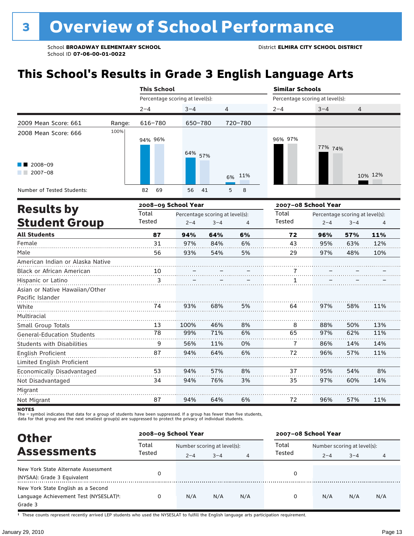# **This School's Results in Grade 3 English Language Arts**

|                                                                                                                                                                                                                                                                                                                                                                                                                                                                                                                                                                                                                                                                                                                                        | <b>This School</b> |         |   |  |         |                                 |         |         |  |
|----------------------------------------------------------------------------------------------------------------------------------------------------------------------------------------------------------------------------------------------------------------------------------------------------------------------------------------------------------------------------------------------------------------------------------------------------------------------------------------------------------------------------------------------------------------------------------------------------------------------------------------------------------------------------------------------------------------------------------------|--------------------|---------|---|--|---------|---------------------------------|---------|---------|--|
|                                                                                                                                                                                                                                                                                                                                                                                                                                                                                                                                                                                                                                                                                                                                        |                    |         |   |  |         |                                 |         |         |  |
|                                                                                                                                                                                                                                                                                                                                                                                                                                                                                                                                                                                                                                                                                                                                        | $2 - 4$            | $3 - 4$ | 4 |  | $2 - 4$ | $3 - 4$                         | 4       |         |  |
| <b>Similar Schools</b><br>Percentage scoring at level(s):<br>Percentage scoring at level(s):<br>2009 Mean Score: 661<br>720-780<br>616-780<br>650-780<br>Range:<br>100%<br>2008 Mean Score: 666<br>96% 97%<br>94% 96%<br>64%<br>57%<br>$2008 - 09$<br>$2007 - 08$<br>11%<br>6%<br>69<br>Number of Tested Students:<br>82<br>56<br>5<br>8<br>41<br>2008-09 School Year<br><b>Results by</b><br>Total<br>Total<br>Percentage scoring at level(s):<br><b>Student Group</b><br>Tested<br>Tested<br>$2 - 4$<br>$3 - 4$<br>4<br><b>All Students</b><br>87<br>64%<br>6%<br>94%<br>72<br>31<br>Female<br>97%<br>84%<br>6%<br>43<br>Male<br>56<br>93%<br>54%<br>5%<br>29<br>American Indian or Alaska Native<br>Black or African American<br>10 |                    |         |   |  |         |                                 |         |         |  |
|                                                                                                                                                                                                                                                                                                                                                                                                                                                                                                                                                                                                                                                                                                                                        |                    |         |   |  |         |                                 |         |         |  |
|                                                                                                                                                                                                                                                                                                                                                                                                                                                                                                                                                                                                                                                                                                                                        |                    |         |   |  |         | 77% 74%                         |         |         |  |
|                                                                                                                                                                                                                                                                                                                                                                                                                                                                                                                                                                                                                                                                                                                                        |                    |         |   |  |         |                                 |         |         |  |
|                                                                                                                                                                                                                                                                                                                                                                                                                                                                                                                                                                                                                                                                                                                                        |                    |         |   |  |         |                                 |         | 10% 12% |  |
|                                                                                                                                                                                                                                                                                                                                                                                                                                                                                                                                                                                                                                                                                                                                        |                    |         |   |  |         |                                 |         |         |  |
|                                                                                                                                                                                                                                                                                                                                                                                                                                                                                                                                                                                                                                                                                                                                        |                    |         |   |  |         | 2007-08 School Year             |         |         |  |
|                                                                                                                                                                                                                                                                                                                                                                                                                                                                                                                                                                                                                                                                                                                                        |                    |         |   |  |         | Percentage scoring at level(s): |         |         |  |
|                                                                                                                                                                                                                                                                                                                                                                                                                                                                                                                                                                                                                                                                                                                                        |                    |         |   |  |         | $2 - 4$                         | $3 - 4$ | 4       |  |
|                                                                                                                                                                                                                                                                                                                                                                                                                                                                                                                                                                                                                                                                                                                                        |                    |         |   |  |         | 96%                             | 57%     | 11%     |  |
|                                                                                                                                                                                                                                                                                                                                                                                                                                                                                                                                                                                                                                                                                                                                        |                    |         |   |  |         | 95%                             | 63%     | 12%     |  |
|                                                                                                                                                                                                                                                                                                                                                                                                                                                                                                                                                                                                                                                                                                                                        |                    |         |   |  |         | 97%                             | 48%     | 10%     |  |
|                                                                                                                                                                                                                                                                                                                                                                                                                                                                                                                                                                                                                                                                                                                                        |                    |         |   |  |         |                                 |         |         |  |
|                                                                                                                                                                                                                                                                                                                                                                                                                                                                                                                                                                                                                                                                                                                                        |                    |         |   |  |         |                                 |         |         |  |

| Black or African American         | 10 |      |     |    |    |     |     |     |
|-----------------------------------|----|------|-----|----|----|-----|-----|-----|
| Hispanic or Latino                |    |      |     |    |    |     |     |     |
| Asian or Native Hawaiian/Other    |    |      |     |    |    |     |     |     |
| Pacific Islander                  |    |      |     |    |    |     |     |     |
| White                             | 74 | 93%  | 68% | 5% | 64 | 97% | 58% | 11% |
| Multiracial                       |    |      |     |    |    |     |     |     |
| Small Group Totals                | 13 | 100% | 46% | 8% | 8  | 88% | 50% | 13% |
| <b>General-Education Students</b> | 78 | 99%  | 71% | 6% | 65 | 97% | 62% | 11% |
| <b>Students with Disabilities</b> | 9  | 56%  | 11% | 0% |    | 86% | 14% | 14% |
| English Proficient                | 87 | 94%  | 64% | 6% | 72 | 96% | 57% | 11% |
| Limited English Proficient        |    |      |     |    |    |     |     |     |
| Economically Disadvantaged        | 53 | 94%  | 57% | 8% | 37 | 95% | 54% | 8%  |
| Not Disadvantaged                 | 34 | 94%  | 76% | 3% | 35 | 97% | 60% | 14% |
| Migrant                           |    |      |     |    |    |     |     |     |
| Not Migrant                       | 87 | 94%  | 64% | 6% | 72 | 96% | 57% | 11% |
|                                   |    |      |     |    |    |     |     |     |

**NOTES** 

The – symbol indicates that data for a group of students have been suppressed. If a group has fewer than five students,<br>data for that group and the next smallest group(s) are suppressed to protect the privacy of individual

| <b>Other</b>                                                                            | 2008-09 School Year |                                                                     |     |     | 2007-08 School Year |                                        |         |     |  |
|-----------------------------------------------------------------------------------------|---------------------|---------------------------------------------------------------------|-----|-----|---------------------|----------------------------------------|---------|-----|--|
| <b>Assessments</b>                                                                      | Total<br>Tested     | Number scoring at level(s):<br>$3 - 4$<br>$2 - 4$<br>$\overline{4}$ |     |     | Total<br>Tested     | Number scoring at level(s):<br>$2 - 4$ | $3 - 4$ | 4   |  |
| New York State Alternate Assessment<br>(NYSAA): Grade 3 Equivalent                      |                     |                                                                     |     |     | 0                   |                                        |         |     |  |
| New York State English as a Second<br>Language Achievement Test (NYSESLAT)t:<br>Grade 3 |                     | N/A                                                                 | N/A | N/A | O                   | N/A                                    | N/A     | N/A |  |

† These counts represent recently arrived LEP students who used the NYSESLAT to fulfill the English language arts participation requirement.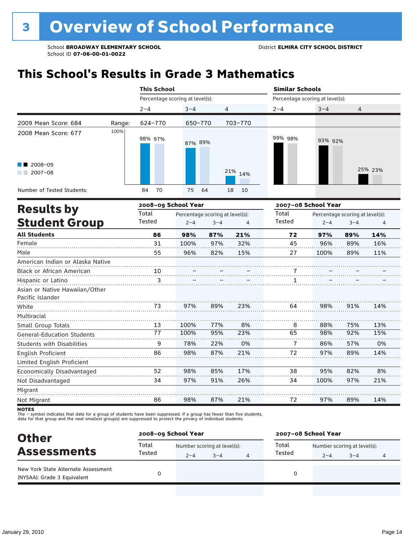# **This School's Results in Grade 3 Mathematics**

|                                                    |                     | <b>This School</b>              |                                 |         |          | <b>Similar Schools</b>          |         |                                 |         |  |
|----------------------------------------------------|---------------------|---------------------------------|---------------------------------|---------|----------|---------------------------------|---------|---------------------------------|---------|--|
|                                                    |                     | Percentage scoring at level(s): |                                 |         |          | Percentage scoring at level(s): |         |                                 |         |  |
|                                                    |                     | $2 - 4$                         | $3 - 4$                         | 4       |          | $2 - 4$                         | $3 - 4$ | 4                               |         |  |
| 2009 Mean Score: 684                               | Range:              | 624-770                         | 650-770                         |         | 703-770  |                                 |         |                                 |         |  |
| 2008 Mean Score: 677                               | 100%                | 98% 97%                         | 87% 89%                         |         |          | 99% 98%                         | 93% 92% |                                 |         |  |
| $2008 - 09$<br>$2007 - 08$                         |                     |                                 |                                 |         | 21% 14%  |                                 |         |                                 | 25% 23% |  |
| Number of Tested Students:                         |                     | 70<br>84                        | 75                              | 64      | 10<br>18 |                                 |         |                                 |         |  |
|                                                    | 2008-09 School Year |                                 |                                 |         |          | 2007-08 School Year             |         |                                 |         |  |
| <b>Results by</b>                                  |                     | Total                           | Percentage scoring at level(s): |         |          | Total                           |         | Percentage scoring at level(s): |         |  |
| <b>Student Group</b>                               |                     | Tested                          | $2 - 4$                         | $3 - 4$ | 4        | Tested                          | $2 - 4$ | $3 - 4$                         | 4       |  |
| <b>All Students</b>                                |                     | 86                              | 98%                             | 87%     | 21%      | 72                              | 97%     | 89%                             | 14%     |  |
| Female                                             |                     | 31                              | 100%                            | 97%     | 32%      | 45                              | 96%     | 89%                             | 16%     |  |
| Male                                               |                     | 55                              | 96%                             | 82%     | 15%      | 27                              | 100%    | 89%                             | 11%     |  |
| American Indian or Alaska Native                   |                     |                                 |                                 |         |          |                                 |         |                                 |         |  |
| Black or African American                          |                     | 10                              |                                 |         |          |                                 |         |                                 |         |  |
| Hispanic or Latino                                 |                     | 3                               |                                 |         |          | 1                               |         |                                 |         |  |
| Asian or Native Hawaiian/Other<br>Pacific Islander |                     |                                 |                                 |         |          |                                 |         |                                 |         |  |
| White                                              |                     | 73                              | 97%                             | 89%     | 23%      | 64                              | 98%     | 91%                             | 14%     |  |
| Multiracial                                        |                     |                                 |                                 |         |          |                                 |         |                                 |         |  |
| Small Group Totals                                 |                     | 13                              | 100%                            | 77%     | 8%       | 8                               | 88%     | 75%                             | 13%     |  |
| <b>General-Education Students</b>                  |                     | $\overline{77}$                 | 100%                            | 95%     | 23%      | 65                              | 98%     | 92%                             | 15%     |  |
| <b>Students with Disabilities</b>                  |                     | 9                               | 78%                             | 22%     | 0%       | 7                               | 86%     | 57%                             | 0%      |  |
| English Proficient<br>Limited English Proficient   |                     | 86                              | 98%                             | 87%     | 21%      | 72                              | 97%     | 89%                             | 14%     |  |
| Economically Disadvantaged                         |                     | 52                              | 98%                             | 85%     | 17%      | 38                              | 95%     | 82%                             | 8%      |  |
| Not Disadvantaged                                  |                     | 34                              | 97%                             | 91%     | 26%      | 34                              | 100%    | 97%                             | 21%     |  |
| Migrant                                            |                     |                                 |                                 |         |          |                                 |         |                                 |         |  |

**NOTES** 

Not Migrant

The – symbol indicates that data for a group of students have been suppressed. If a group has fewer than five students,<br>data for that group and the next smallest group(s) are suppressed to protect the privacy of individual

86

| <b>Other</b>                                                       | 2008-09 School Year |         |                             |   | 2007-08 School Year |         |                             |   |  |
|--------------------------------------------------------------------|---------------------|---------|-----------------------------|---|---------------------|---------|-----------------------------|---|--|
| <b>Assessments</b>                                                 | Total<br>Tested     |         | Number scoring at level(s): |   |                     |         | Number scoring at level(s): |   |  |
|                                                                    |                     | $2 - 4$ | $3 - 4$                     | 4 | Tested              | $2 - 4$ | $3 - 4$                     | 4 |  |
| New York State Alternate Assessment<br>(NYSAA): Grade 3 Equivalent |                     |         |                             |   | 0                   |         |                             |   |  |

87%

21%

72

97%

89%

14%

98%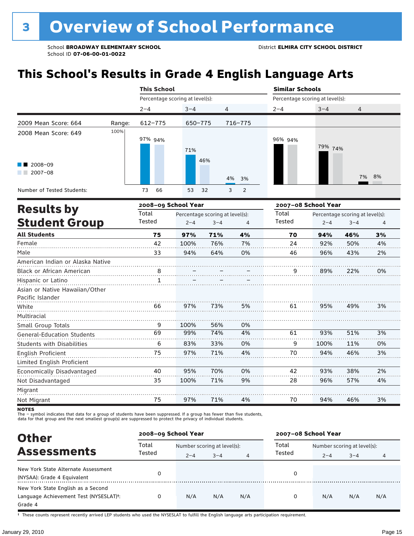# **This School's Results in Grade 4 English Language Arts**

|                                   |        | <b>This School</b>  |                                 |                                 |          | <b>Similar Schools</b>          |                                 |         |    |  |
|-----------------------------------|--------|---------------------|---------------------------------|---------------------------------|----------|---------------------------------|---------------------------------|---------|----|--|
|                                   |        |                     | Percentage scoring at level(s): |                                 |          | Percentage scoring at level(s): |                                 |         |    |  |
|                                   |        | $2 - 4$             | $3 - 4$                         | 4                               |          | $2 - 4$                         | $3 - 4$                         | 4       |    |  |
| 2009 Mean Score: 664              | Range: | $612 - 775$         | 650-775                         |                                 | 716-775  |                                 |                                 |         |    |  |
| 2008 Mean Score: 649              | 100%   |                     |                                 |                                 |          |                                 |                                 |         |    |  |
|                                   |        | 97% 94%             |                                 |                                 |          | 96% 94%                         |                                 |         |    |  |
|                                   |        |                     | 71%                             |                                 |          |                                 | 79% 74%                         |         |    |  |
|                                   |        |                     |                                 | 46%                             |          |                                 |                                 |         |    |  |
| 2008-09<br>$2007 - 08$            |        |                     |                                 |                                 |          |                                 |                                 |         |    |  |
|                                   |        |                     |                                 |                                 | 4%<br>3% |                                 |                                 | 7%      | 8% |  |
| Number of Tested Students:        |        | 73<br>66            | 53                              | 32                              | 3<br>2   |                                 |                                 |         |    |  |
|                                   |        | 2008-09 School Year |                                 |                                 |          |                                 | 2007-08 School Year             |         |    |  |
| <b>Results by</b>                 |        | Total               |                                 | Percentage scoring at level(s): |          | Total                           | Percentage scoring at level(s): |         |    |  |
| <b>Student Group</b>              |        | Tested              | $2 - 4$                         | $3 - 4$                         | 4        | Tested                          | $2 - 4$                         | $3 - 4$ | 4  |  |
| <b>All Students</b>               |        | 75                  | 97%                             | 71%                             | 4%       | 70                              | 94%                             | 46%     | 3% |  |
| Female                            |        | 42                  | 100%                            | 76%                             | 7%       | 24                              | 92%                             | 50%     | 4% |  |
| Male                              |        | 33                  | 94%                             | 64%                             | 0%       | 46                              | 96%                             | 43%     | 2% |  |
| American Indian or Alaska Native  |        |                     |                                 |                                 |          |                                 |                                 |         |    |  |
| Black or African American         |        | $\overline{8}$      |                                 |                                 |          | 9                               | 89%                             | 22%     | 0% |  |
| Hispanic or Latino                |        | 1                   |                                 |                                 |          |                                 |                                 |         |    |  |
| Asian or Native Hawaiian/Other    |        |                     |                                 |                                 |          |                                 |                                 |         |    |  |
| Pacific Islander                  |        |                     |                                 |                                 |          |                                 |                                 |         |    |  |
| White                             |        | 66                  | 97%                             | 73%                             | 5%       | 61                              | 95%                             | 49%     | 3% |  |
| Multiracial                       |        |                     |                                 |                                 |          |                                 |                                 |         |    |  |
| Small Group Totals                |        | 9                   | 100%                            | 56%                             | 0%       |                                 |                                 |         |    |  |
| <b>General-Education Students</b> |        | 69                  | 99%                             | 74%                             | 4%       | 61                              | 93%                             | 51%     | 3% |  |
| <b>Students with Disabilities</b> |        | 6                   | 83%                             | 33%                             | 0%       | 9                               | 100%                            | 11%     | 0% |  |
| English Proficient                |        | 75                  | 97%                             | 71%                             | 4%       | 70                              | 94%                             | 46%     | 3% |  |
| Limited English Proficient        |        |                     |                                 |                                 |          |                                 |                                 |         |    |  |
| Economically Disadvantaged        |        | 40                  | 95%                             | 70%                             | 0%       | 42                              | 93%                             | 38%     | 2% |  |
| Not Disadvantaged                 |        | 35                  | 100%                            | 71%                             | 9%       | 28                              | 96%                             | 57%     | 4% |  |
| Migrant                           |        |                     |                                 |                                 |          |                                 |                                 |         |    |  |

**NOTES** 

Not Migrant

The – symbol indicates that data for a group of students have been suppressed. If a group has fewer than five students,<br>data for that group and the next smallest group(s) are suppressed to protect the privacy of individual

75

| <b>Other</b>                                                                                         |        | 2008-09 School Year         |         |                | 2007-08 School Year |                             |         |     |  |
|------------------------------------------------------------------------------------------------------|--------|-----------------------------|---------|----------------|---------------------|-----------------------------|---------|-----|--|
|                                                                                                      | Total  | Number scoring at level(s): |         |                | Total               | Number scoring at level(s): |         |     |  |
| <b>Assessments</b>                                                                                   | Tested | $2 - 4$                     | $3 - 4$ | $\overline{4}$ | Tested              | $2 - 4$                     | $3 - 4$ | 4   |  |
| New York State Alternate Assessment<br>(NYSAA): Grade 4 Equivalent                                   |        |                             |         |                | 0                   |                             |         |     |  |
| New York State English as a Second<br>Language Achievement Test (NYSESLAT) <sup>+</sup> :<br>Grade 4 |        | N/A                         | N/A     | N/A            | 0                   | N/A                         | N/A     | N/A |  |

71%

4%

70

94%

46%

3%

97%

† These counts represent recently arrived LEP students who used the NYSESLAT to fulfill the English language arts participation requirement.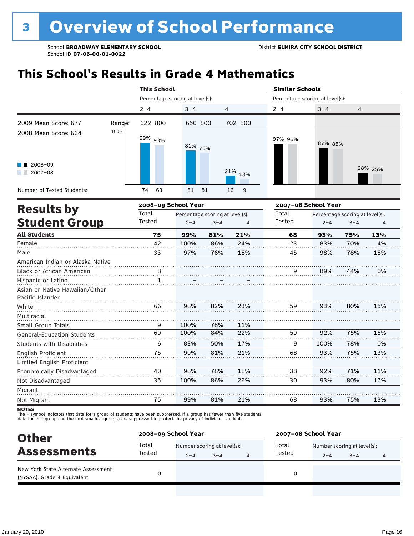# **This School's Results in Grade 4 Mathematics**

|                                                    | <b>This School</b>              |                                 |         |                                 | <b>Similar Schools</b> |                                 |         |         |  |
|----------------------------------------------------|---------------------------------|---------------------------------|---------|---------------------------------|------------------------|---------------------------------|---------|---------|--|
|                                                    | Percentage scoring at level(s): |                                 |         | Percentage scoring at level(s): |                        |                                 |         |         |  |
|                                                    | $2 - 4$                         | $3 - 4$                         | 4       |                                 | $2 - 4$                | $3 - 4$                         | 4       |         |  |
| 2009 Mean Score: 677<br>Range:                     | $622 - 800$                     | 650-800                         |         | 702-800                         |                        |                                 |         |         |  |
| 100%<br>2008 Mean Score: 664                       | 99% 93%                         | 81% 75%                         |         |                                 | 97% 96%                | 87% 85%                         |         |         |  |
| 2008-09<br>$2007 - 08$                             |                                 |                                 |         | 21%<br>13%                      |                        |                                 |         | 28% 25% |  |
| Number of Tested Students:                         | 74<br>63                        | 61                              | 51      | 9<br>16                         |                        |                                 |         |         |  |
| <b>Results by</b>                                  |                                 | 2008-09 School Year             |         |                                 |                        | 2007-08 School Year             |         |         |  |
|                                                    | Total                           | Percentage scoring at level(s): |         |                                 | Total                  | Percentage scoring at level(s): |         |         |  |
| <b>Student Group</b>                               | Tested                          | $2 - 4$                         | $3 - 4$ | $\overline{4}$                  | Tested                 | $2 - 4$                         | $3 - 4$ | 4       |  |
| <b>All Students</b>                                | 75                              | 99%                             | 81%     | 21%                             | 68                     | 93%                             | 75%     | 13%     |  |
| Female                                             | 42                              | 100%                            | 86%     | 24%                             | 23                     | 83%                             | 70%     | 4%      |  |
| Male                                               | 33                              | 97%                             | 76%     | 18%                             | 45                     | 98%                             | 78%     | 18%     |  |
| American Indian or Alaska Native                   |                                 |                                 |         |                                 |                        |                                 |         |         |  |
| Black or African American                          | 8<br>                           |                                 |         |                                 | 9                      | 89%                             | 44%     | 0%      |  |
| Hispanic or Latino                                 | 1                               |                                 |         |                                 |                        |                                 |         |         |  |
| Asian or Native Hawaiian/Other<br>Pacific Islander |                                 |                                 |         |                                 |                        |                                 |         |         |  |
| White                                              | 66                              | 98%                             | 82%     | 23%                             | 59                     | 93%                             | 80%     | 15%     |  |
| Multiracial                                        |                                 |                                 |         |                                 |                        |                                 |         |         |  |
| Small Group Totals                                 | 9                               | 100%                            | 78%     | 11%                             |                        |                                 |         |         |  |
| <b>General-Education Students</b>                  | 69                              | 100%                            | 84%     | 22%                             | 59                     | 92%                             | 75%     | 15%     |  |
| <b>Students with Disabilities</b>                  | 6                               | 83%                             | 50%     | 17%                             | 9                      | 100%                            | 78%     | 0%      |  |
| English Proficient                                 | 75                              | 99%                             | 81%     | 21%                             | 68                     | 93%                             | 75%     | 13%     |  |
| Limited English Proficient                         |                                 |                                 |         |                                 |                        |                                 |         |         |  |
| Economically Disadvantaged                         | 40                              | 98%                             | 78%     | 18%                             | 38                     | 92%                             | 71%     | 11%     |  |
| Not Disadvantaged                                  | 35                              | 100%                            | 86%     | 26%                             | 30                     | 93%                             | 80%     | 17%     |  |
| Migrant                                            |                                 |                                 |         |                                 |                        |                                 |         |         |  |
| Not Migrant                                        |                                 |                                 |         |                                 |                        |                                 |         |         |  |

**NOTES** 

The – symbol indicates that data for a group of students have been suppressed. If a group has fewer than five students,<br>data for that group and the next smallest group(s) are suppressed to protect the privacy of individual

| <b>Other</b>                                                       | 2008-09 School Year |                             |         |   | 2007-08 School Year |                             |         |   |  |
|--------------------------------------------------------------------|---------------------|-----------------------------|---------|---|---------------------|-----------------------------|---------|---|--|
| <b>Assessments</b>                                                 | Total<br>Tested     | Number scoring at level(s): |         |   | Total               | Number scoring at level(s): |         |   |  |
|                                                                    |                     | $2 - 4$                     | $3 - 4$ | 4 | Tested              | $2 - 4$                     | $3 - 4$ | 4 |  |
| New York State Alternate Assessment<br>(NYSAA): Grade 4 Equivalent |                     |                             |         |   | 0                   |                             |         |   |  |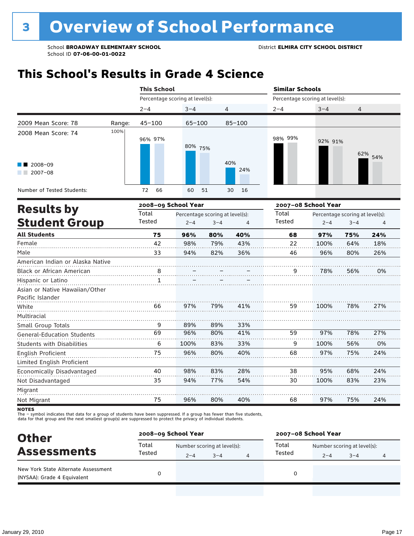### **This School's Results in Grade 4 Science**

|                                                    |        | <b>This School</b>              |            |                                 |                | <b>Similar Schools</b>          |         |                                 |     |
|----------------------------------------------------|--------|---------------------------------|------------|---------------------------------|----------------|---------------------------------|---------|---------------------------------|-----|
|                                                    |        | Percentage scoring at level(s): |            |                                 |                | Percentage scoring at level(s): |         |                                 |     |
|                                                    |        | $2 - 4$                         | $3 - 4$    | 4                               |                | $2 - 4$                         | $3 - 4$ | 4                               |     |
| 2009 Mean Score: 78                                | Range: | $45 - 100$                      | $65 - 100$ |                                 | $85 - 100$     |                                 |         |                                 |     |
| 2008 Mean Score: 74                                | 100%   | 96% 97%                         | 80% 75%    |                                 |                | 98% 99%                         | 92% 91% | 62%                             | 54% |
| 2008-09<br>2007-08                                 |        |                                 |            |                                 | 40%<br>24%     |                                 |         |                                 |     |
| Number of Tested Students:                         |        | 66<br>72                        | 60         | 51                              | 16<br>30       |                                 |         |                                 |     |
|                                                    |        | 2008-09 School Year             |            |                                 |                | 2007-08 School Year             |         |                                 |     |
| <b>Results by</b>                                  |        | Total                           |            | Percentage scoring at level(s): |                | Total                           |         | Percentage scoring at level(s): |     |
| <b>Student Group</b>                               |        | Tested                          | $2 - 4$    | $3 - 4$                         | $\overline{4}$ | Tested                          | $2 - 4$ | $3 - 4$                         | 4   |
| <b>All Students</b>                                |        | 75                              | 96%        | 80%                             | 40%            | 68                              | 97%     | 75%                             | 24% |
| Female                                             |        | 42                              | 98%        | 79%                             | 43%            | 22                              | 100%    | 64%                             | 18% |
| Male                                               |        | 33                              | 94%        | 82%                             | 36%            | 46                              | 96%     | 80%                             | 26% |
| American Indian or Alaska Native                   |        |                                 |            |                                 |                |                                 |         |                                 |     |
| <b>Black or African American</b>                   |        | 8                               |            |                                 |                | 9                               | 78%     | 56%                             | 0%  |
| Hispanic or Latino                                 |        | $\mathbf{1}$                    |            |                                 |                |                                 |         |                                 |     |
| Asian or Native Hawaiian/Other<br>Pacific Islander |        |                                 |            |                                 |                |                                 |         |                                 |     |
| White                                              |        | 66                              | 97%        | 79%                             | 41%            | 59                              | 100%    | 78%                             | 27% |
| Multiracial                                        |        |                                 |            |                                 |                |                                 |         |                                 |     |
| Small Group Totals                                 |        | 9                               | 89%        | 89%                             | 33%            |                                 |         |                                 |     |
| <b>General-Education Students</b>                  |        | 69                              | 96%        | 80%                             | 41%            | 59                              | 97%     | 78%                             | 27% |
| <b>Students with Disabilities</b>                  |        | 6                               | 100%       | 83%                             | 33%            | 9                               | 100%    | 56%                             | 0%  |
| English Proficient<br>Limited English Proficient   |        | 75                              | 96%        | 80%                             | 40%            | 68                              | 97%     | 75%                             | 24% |
| Economically Disadvantaged                         |        | 40                              | 98%        | 83%                             | 28%            | 38                              | 95%     | 68%                             | 24% |
| Not Disadvantaged                                  |        | 35                              | 94%        | 77%                             | 54%            | 30                              | 100%    | 83%                             | 23% |
| Migrant                                            |        |                                 |            |                                 |                |                                 |         |                                 |     |
| Not Migrant                                        |        | 75                              | 96%        | 80%                             | 40%            | 68                              | 97%     | 75%                             | 24% |

**NOTES** 

The – symbol indicates that data for a group of students have been suppressed. If a group has fewer than five students,<br>data for that group and the next smallest group(s) are suppressed to protect the privacy of individual

| <b>Other</b>                                                       | 2008-09 School Year |                             |         |   | 2007-08 School Year |                             |         |   |  |
|--------------------------------------------------------------------|---------------------|-----------------------------|---------|---|---------------------|-----------------------------|---------|---|--|
| <b>Assessments</b>                                                 | Total<br>Tested     | Number scoring at level(s): |         |   | Total               | Number scoring at level(s): |         |   |  |
|                                                                    |                     | $2 - 4$                     | $3 - 4$ | 4 | Tested              | $2 - 4$                     | $3 - 4$ | 4 |  |
| New York State Alternate Assessment<br>(NYSAA): Grade 4 Equivalent |                     |                             |         |   | 0                   |                             |         |   |  |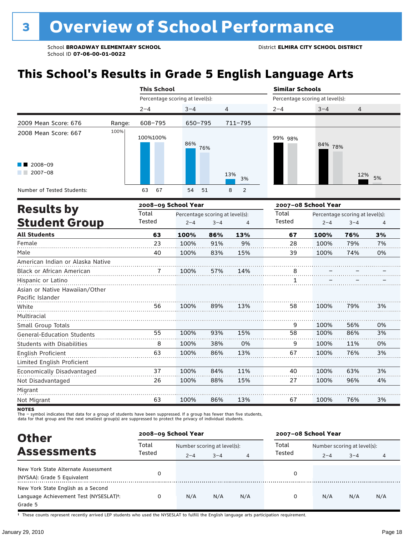# **This School's Results in Grade 5 English Language Arts**

|                                                    |        | <b>This School</b>                       |         |         |                     | <b>Similar Schools</b>          |                                 |         |    |  |
|----------------------------------------------------|--------|------------------------------------------|---------|---------|---------------------|---------------------------------|---------------------------------|---------|----|--|
|                                                    |        | Percentage scoring at level(s):          |         |         |                     | Percentage scoring at level(s): |                                 |         |    |  |
|                                                    |        | $2 - 4$                                  | $3 - 4$ | 4       |                     | $2 - 4$                         | $3 - 4$                         | 4       |    |  |
| 2009 Mean Score: 676                               | Range: | 608-795                                  | 650-795 |         | 711-795             |                                 |                                 |         |    |  |
| 2008 Mean Score: 667                               | 100%   | 100%100%                                 | 86%     | 76%     |                     | 99% 98%                         | 84% 78%                         |         |    |  |
| 2008-09                                            |        |                                          |         |         |                     |                                 |                                 |         |    |  |
| $2007 - 08$                                        |        |                                          |         |         | 13%<br>3%           |                                 |                                 | 12%     | 5% |  |
| Number of Tested Students:                         |        | 67<br>63                                 | 54      | 51      | $\overline{2}$<br>8 |                                 |                                 |         |    |  |
| <b>Results by</b>                                  |        | 2008-09 School Year                      |         |         |                     | 2007-08 School Year             |                                 |         |    |  |
|                                                    |        | Total<br>Percentage scoring at level(s): |         |         |                     | Total                           | Percentage scoring at level(s): |         |    |  |
| <b>Student Group</b>                               |        | Tested                                   | $2 - 4$ | $3 - 4$ | $\overline{4}$      | <b>Tested</b>                   | $2 - 4$                         | $3 - 4$ | 4  |  |
| <b>All Students</b>                                |        | 63                                       | 100%    | 86%     | 13%                 | 67                              | 100%                            | 76%     | 3% |  |
| Female                                             |        | 23                                       | 100%    | 91%     | 9%                  | 28                              | 100%                            | 79%     | 7% |  |
| Male                                               |        | 40                                       | 100%    | 83%     | 15%                 | 39                              | 100%                            | 74%     | 0% |  |
| American Indian or Alaska Native                   |        |                                          |         |         |                     |                                 |                                 |         |    |  |
| <b>Black or African American</b>                   |        | 7                                        | 100%    | 57%     | 14%                 | 8                               |                                 |         |    |  |
| Hispanic or Latino                                 |        |                                          |         |         |                     | 1                               |                                 |         |    |  |
| Asian or Native Hawaiian/Other<br>Pacific Islander |        |                                          |         |         |                     |                                 |                                 |         |    |  |
| White                                              |        | 56                                       | 100%    | 89%     | 13%                 | 58                              | 100%                            | 79%     | 3% |  |
| Multiracial                                        |        |                                          |         |         |                     |                                 |                                 |         |    |  |
| Small Group Totals                                 |        |                                          |         |         |                     | 9                               | 100%                            | 56%     | 0% |  |
| <b>General-Education Students</b>                  |        | 55                                       | 100%    | 93%     | 15%                 | 58                              | 100%                            | 86%     | 3% |  |
| <b>Students with Disabilities</b>                  |        | 8                                        | 100%    | 38%     | 0%                  | 9                               | 100%                            | 11%     | 0% |  |
| English Proficient                                 |        | 63                                       | 100%    | 86%     | 13%                 | 67                              | 100%                            | 76%     | 3% |  |
| Limited English Proficient                         |        |                                          |         |         |                     |                                 |                                 |         |    |  |
| Economically Disadvantaged                         |        | 37                                       | 100%    | 84%     | 11%                 | 40                              | 100%                            | 63%     | 3% |  |
| Not Disadvantaged                                  |        | 26                                       | 100%    | 88%     | 15%                 | 27                              | 100%                            | 96%     | 4% |  |

**NOTES** 

Migrant Not Migrant

The – symbol indicates that data for a group of students have been suppressed. If a group has fewer than five students,<br>data for that group and the next smallest group(s) are suppressed to protect the privacy of individual

63

100%

| <b>Other</b>                                                                            |        | 2008-09 School Year         |         |                | 2007-08 School Year |                             |         |     |  |
|-----------------------------------------------------------------------------------------|--------|-----------------------------|---------|----------------|---------------------|-----------------------------|---------|-----|--|
|                                                                                         | Total  | Number scoring at level(s): |         |                | Total               | Number scoring at level(s): |         |     |  |
| <b>Assessments</b>                                                                      | Tested | $2 - 4$                     | $3 - 4$ | $\overline{4}$ | Tested              | $2 - 4$                     | $3 - 4$ | 4   |  |
| New York State Alternate Assessment<br>(NYSAA): Grade 5 Equivalent                      |        |                             |         |                | 0                   |                             |         |     |  |
| New York State English as a Second<br>Language Achievement Test (NYSESLAT)t:<br>Grade 5 |        | N/A                         | N/A     | N/A            | 0                   | N/A                         | N/A     | N/A |  |

86%

13%

67

100%

76%

3%

. . . . . . . . .

† These counts represent recently arrived LEP students who used the NYSESLAT to fulfill the English language arts participation requirement.